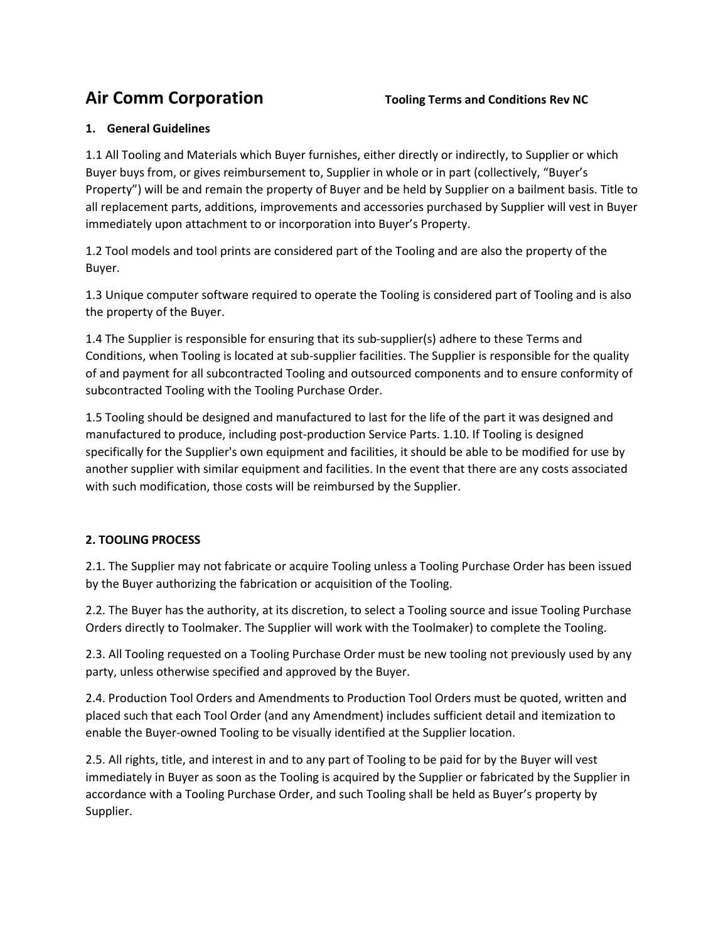#### **1. General Guidelines**

1.1 All Tooling and Materials which Buyer furnishes, either directly or indirectly, to Supplier or which Buyer buys from, or gives reimbursement to, Supplier in whole or in part (collectively, "Buyer's Property") will be and remain the property of Buyer and be held by Supplier on a bailment basis. Title to all replacement parts, additions, improvements and accessories purchased by Supplier will vest in Buyer immediately upon attachment to or incorporation into Buyer's Property.

1.2 Tool models and tool prints are considered part of the Tooling and are also the property of the Buyer.

1.3 Unique computer software required to operate the Tooling is considered part of Tooling and is also the property of the Buyer.

1.4 The Supplier is responsible for ensuring that its sub-supplier(s) adhere to these Terms and Conditions, when Tooling is located at sub-supplier facilities. The Supplier is responsible for the quality of and payment for all subcontracted Tooling and outsourced components and to ensure conformity of subcontracted Tooling with the Tooling Purchase Order.

1.5 Tooling should be designed and manufactured to last for the life of the part it was designed and manufactured to produce, including post-production Service Parts. 1.10. If Tooling is designed specifically for the Supplier's own equipment and facilities, it should be able to be modified for use by another supplier with similar equipment and facilities. In the event that there are any costs associated with such modification, those costs will be reimbursed by the Supplier.

# **2. TOOLING PROCESS**

2.1. The Supplier may not fabricate or acquire Tooling unless a Tooling Purchase Order has been issued by the Buyer authorizing the fabrication or acquisition of the Tooling.

2.2. The Buyer has the authority, at its discretion, to select a Tooling source and issue Tooling Purchase Orders directly to Toolmaker. The Supplier will work with the Toolmaker) to complete the Tooling.

2.3. All Tooling requested on a Tooling Purchase Order must be new tooling not previously used by any party, unless otherwise specified and approved by the Buyer.

2.4. Production Tool Orders and Amendments to Production Tool Orders must be quoted, written and placed such that each Tool Order (and any Amendment) includes sufficient detail and itemization to enable the Buyer-owned Tooling to be visually identified at the Supplier location.

2.5. All rights, title, and interest in and to any part of Tooling to be paid for by the Buyer will vest immediately in Buyer as soon as the Tooling is acquired by the Supplier or fabricated by the Supplier in accordance with a Tooling Purchase Order, and such Tooling shall be held as Buyer's property by Supplier.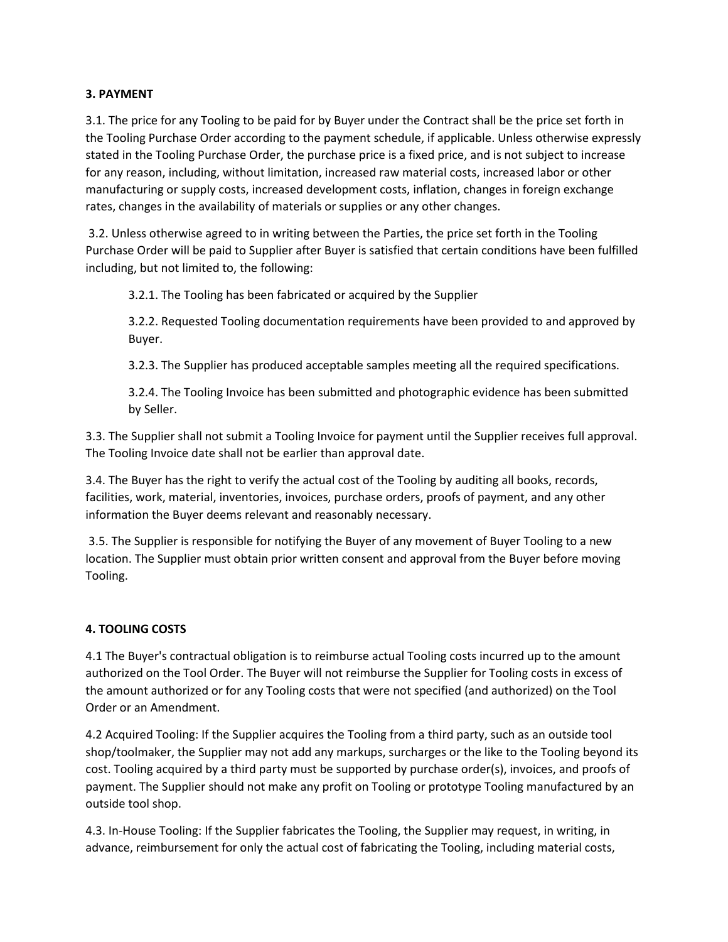#### **3. PAYMENT**

3.1. The price for any Tooling to be paid for by Buyer under the Contract shall be the price set forth in the Tooling Purchase Order according to the payment schedule, if applicable. Unless otherwise expressly stated in the Tooling Purchase Order, the purchase price is a fixed price, and is not subject to increase for any reason, including, without limitation, increased raw material costs, increased labor or other manufacturing or supply costs, increased development costs, inflation, changes in foreign exchange rates, changes in the availability of materials or supplies or any other changes.

3.2. Unless otherwise agreed to in writing between the Parties, the price set forth in the Tooling Purchase Order will be paid to Supplier after Buyer is satisfied that certain conditions have been fulfilled including, but not limited to, the following:

3.2.1. The Tooling has been fabricated or acquired by the Supplier

3.2.2. Requested Tooling documentation requirements have been provided to and approved by Buyer.

3.2.3. The Supplier has produced acceptable samples meeting all the required specifications.

3.2.4. The Tooling Invoice has been submitted and photographic evidence has been submitted by Seller.

3.3. The Supplier shall not submit a Tooling Invoice for payment until the Supplier receives full approval. The Tooling Invoice date shall not be earlier than approval date.

3.4. The Buyer has the right to verify the actual cost of the Tooling by auditing all books, records, facilities, work, material, inventories, invoices, purchase orders, proofs of payment, and any other information the Buyer deems relevant and reasonably necessary.

3.5. The Supplier is responsible for notifying the Buyer of any movement of Buyer Tooling to a new location. The Supplier must obtain prior written consent and approval from the Buyer before moving Tooling.

# **4. TOOLING COSTS**

4.1 The Buyer's contractual obligation is to reimburse actual Tooling costs incurred up to the amount authorized on the Tool Order. The Buyer will not reimburse the Supplier for Tooling costs in excess of the amount authorized or for any Tooling costs that were not specified (and authorized) on the Tool Order or an Amendment.

4.2 Acquired Tooling: If the Supplier acquires the Tooling from a third party, such as an outside tool shop/toolmaker, the Supplier may not add any markups, surcharges or the like to the Tooling beyond its cost. Tooling acquired by a third party must be supported by purchase order(s), invoices, and proofs of payment. The Supplier should not make any profit on Tooling or prototype Tooling manufactured by an outside tool shop.

4.3. In-House Tooling: If the Supplier fabricates the Tooling, the Supplier may request, in writing, in advance, reimbursement for only the actual cost of fabricating the Tooling, including material costs,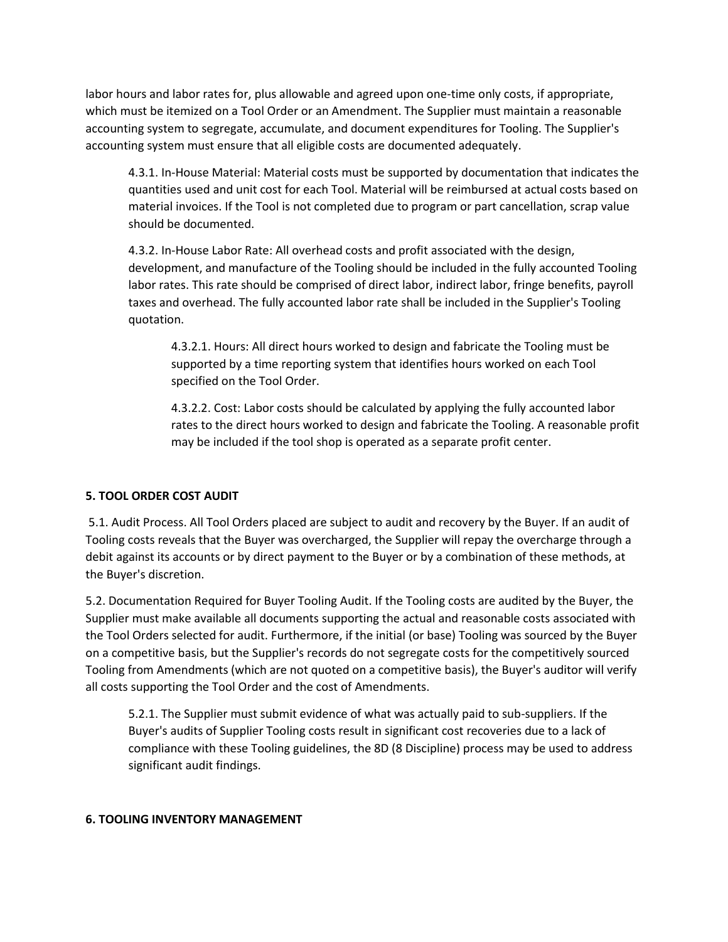labor hours and labor rates for, plus allowable and agreed upon one-time only costs, if appropriate, which must be itemized on a Tool Order or an Amendment. The Supplier must maintain a reasonable accounting system to segregate, accumulate, and document expenditures for Tooling. The Supplier's accounting system must ensure that all eligible costs are documented adequately.

4.3.1. In-House Material: Material costs must be supported by documentation that indicates the quantities used and unit cost for each Tool. Material will be reimbursed at actual costs based on material invoices. If the Tool is not completed due to program or part cancellation, scrap value should be documented.

4.3.2. In-House Labor Rate: All overhead costs and profit associated with the design, development, and manufacture of the Tooling should be included in the fully accounted Tooling labor rates. This rate should be comprised of direct labor, indirect labor, fringe benefits, payroll taxes and overhead. The fully accounted labor rate shall be included in the Supplier's Tooling quotation.

4.3.2.1. Hours: All direct hours worked to design and fabricate the Tooling must be supported by a time reporting system that identifies hours worked on each Tool specified on the Tool Order.

4.3.2.2. Cost: Labor costs should be calculated by applying the fully accounted labor rates to the direct hours worked to design and fabricate the Tooling. A reasonable profit may be included if the tool shop is operated as a separate profit center.

# **5. TOOL ORDER COST AUDIT**

5.1. Audit Process. All Tool Orders placed are subject to audit and recovery by the Buyer. If an audit of Tooling costs reveals that the Buyer was overcharged, the Supplier will repay the overcharge through a debit against its accounts or by direct payment to the Buyer or by a combination of these methods, at the Buyer's discretion.

5.2. Documentation Required for Buyer Tooling Audit. If the Tooling costs are audited by the Buyer, the Supplier must make available all documents supporting the actual and reasonable costs associated with the Tool Orders selected for audit. Furthermore, if the initial (or base) Tooling was sourced by the Buyer on a competitive basis, but the Supplier's records do not segregate costs for the competitively sourced Tooling from Amendments (which are not quoted on a competitive basis), the Buyer's auditor will verify all costs supporting the Tool Order and the cost of Amendments.

5.2.1. The Supplier must submit evidence of what was actually paid to sub-suppliers. If the Buyer's audits of Supplier Tooling costs result in significant cost recoveries due to a lack of compliance with these Tooling guidelines, the 8D (8 Discipline) process may be used to address significant audit findings.

#### **6. TOOLING INVENTORY MANAGEMENT**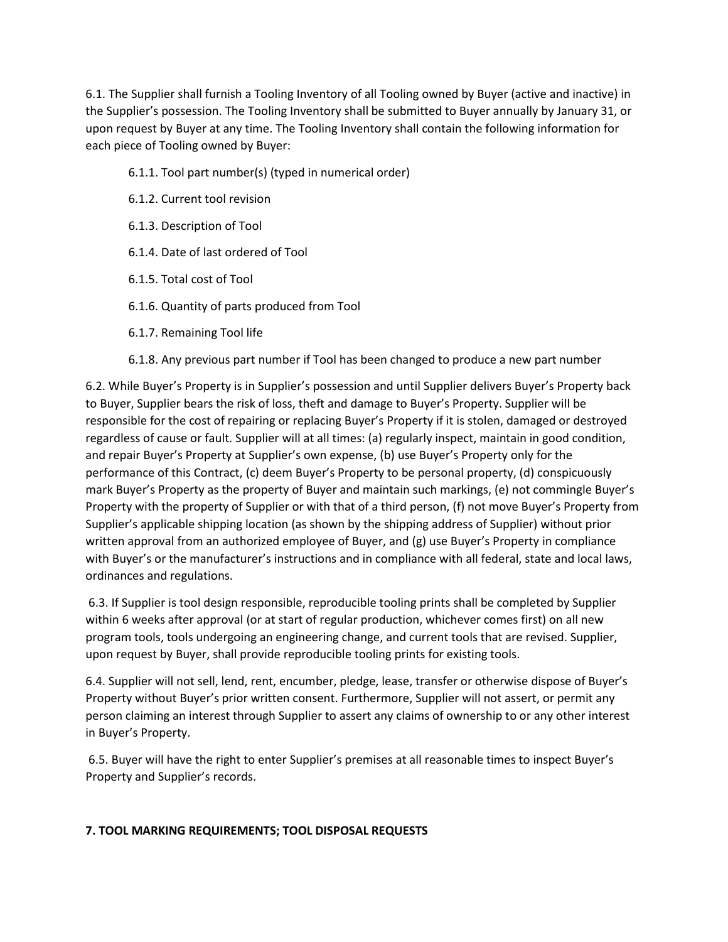6.1. The Supplier shall furnish a Tooling Inventory of all Tooling owned by Buyer (active and inactive) in the Supplier's possession. The Tooling Inventory shall be submitted to Buyer annually by January 31, or upon request by Buyer at any time. The Tooling Inventory shall contain the following information for each piece of Tooling owned by Buyer:

- 6.1.1. Tool part number(s) (typed in numerical order)
- 6.1.2. Current tool revision
- 6.1.3. Description of Tool
- 6.1.4. Date of last ordered of Tool
- 6.1.5. Total cost of Tool
- 6.1.6. Quantity of parts produced from Tool
- 6.1.7. Remaining Tool life
- 6.1.8. Any previous part number if Tool has been changed to produce a new part number

6.2. While Buyer's Property is in Supplier's possession and until Supplier delivers Buyer's Property back to Buyer, Supplier bears the risk of loss, theft and damage to Buyer's Property. Supplier will be responsible for the cost of repairing or replacing Buyer's Property if it is stolen, damaged or destroyed regardless of cause or fault. Supplier will at all times: (a) regularly inspect, maintain in good condition, and repair Buyer's Property at Supplier's own expense, (b) use Buyer's Property only for the performance of this Contract, (c) deem Buyer's Property to be personal property, (d) conspicuously mark Buyer's Property as the property of Buyer and maintain such markings, (e) not commingle Buyer's Property with the property of Supplier or with that of a third person, (f) not move Buyer's Property from Supplier's applicable shipping location (as shown by the shipping address of Supplier) without prior written approval from an authorized employee of Buyer, and (g) use Buyer's Property in compliance with Buyer's or the manufacturer's instructions and in compliance with all federal, state and local laws, ordinances and regulations.

6.3. If Supplier is tool design responsible, reproducible tooling prints shall be completed by Supplier within 6 weeks after approval (or at start of regular production, whichever comes first) on all new program tools, tools undergoing an engineering change, and current tools that are revised. Supplier, upon request by Buyer, shall provide reproducible tooling prints for existing tools.

6.4. Supplier will not sell, lend, rent, encumber, pledge, lease, transfer or otherwise dispose of Buyer's Property without Buyer's prior written consent. Furthermore, Supplier will not assert, or permit any person claiming an interest through Supplier to assert any claims of ownership to or any other interest in Buyer's Property.

6.5. Buyer will have the right to enter Supplier's premises at all reasonable times to inspect Buyer's Property and Supplier's records.

# **7. TOOL MARKING REQUIREMENTS; TOOL DISPOSAL REQUESTS**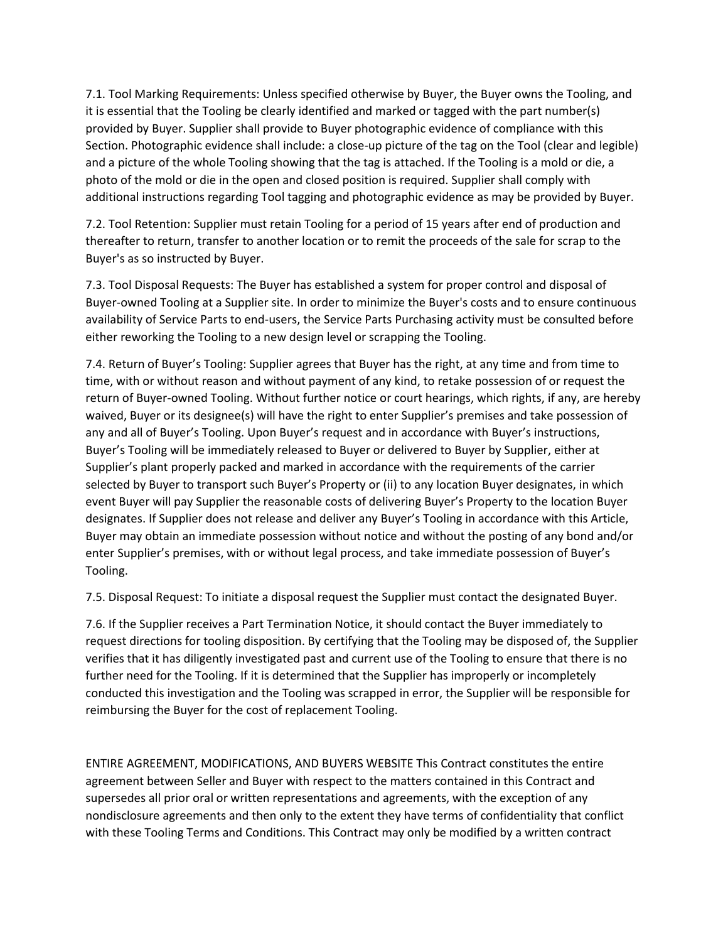7.1. Tool Marking Requirements: Unless specified otherwise by Buyer, the Buyer owns the Tooling, and it is essential that the Tooling be clearly identified and marked or tagged with the part number(s) provided by Buyer. Supplier shall provide to Buyer photographic evidence of compliance with this Section. Photographic evidence shall include: a close-up picture of the tag on the Tool (clear and legible) and a picture of the whole Tooling showing that the tag is attached. If the Tooling is a mold or die, a photo of the mold or die in the open and closed position is required. Supplier shall comply with additional instructions regarding Tool tagging and photographic evidence as may be provided by Buyer.

7.2. Tool Retention: Supplier must retain Tooling for a period of 15 years after end of production and thereafter to return, transfer to another location or to remit the proceeds of the sale for scrap to the Buyer's as so instructed by Buyer.

7.3. Tool Disposal Requests: The Buyer has established a system for proper control and disposal of Buyer-owned Tooling at a Supplier site. In order to minimize the Buyer's costs and to ensure continuous availability of Service Parts to end-users, the Service Parts Purchasing activity must be consulted before either reworking the Tooling to a new design level or scrapping the Tooling.

7.4. Return of Buyer's Tooling: Supplier agrees that Buyer has the right, at any time and from time to time, with or without reason and without payment of any kind, to retake possession of or request the return of Buyer-owned Tooling. Without further notice or court hearings, which rights, if any, are hereby waived, Buyer or its designee(s) will have the right to enter Supplier's premises and take possession of any and all of Buyer's Tooling. Upon Buyer's request and in accordance with Buyer's instructions, Buyer's Tooling will be immediately released to Buyer or delivered to Buyer by Supplier, either at Supplier's plant properly packed and marked in accordance with the requirements of the carrier selected by Buyer to transport such Buyer's Property or (ii) to any location Buyer designates, in which event Buyer will pay Supplier the reasonable costs of delivering Buyer's Property to the location Buyer designates. If Supplier does not release and deliver any Buyer's Tooling in accordance with this Article, Buyer may obtain an immediate possession without notice and without the posting of any bond and/or enter Supplier's premises, with or without legal process, and take immediate possession of Buyer's Tooling.

7.5. Disposal Request: To initiate a disposal request the Supplier must contact the designated Buyer.

7.6. If the Supplier receives a Part Termination Notice, it should contact the Buyer immediately to request directions for tooling disposition. By certifying that the Tooling may be disposed of, the Supplier verifies that it has diligently investigated past and current use of the Tooling to ensure that there is no further need for the Tooling. If it is determined that the Supplier has improperly or incompletely conducted this investigation and the Tooling was scrapped in error, the Supplier will be responsible for reimbursing the Buyer for the cost of replacement Tooling.

ENTIRE AGREEMENT, MODIFICATIONS, AND BUYERS WEBSITE This Contract constitutes the entire agreement between Seller and Buyer with respect to the matters contained in this Contract and supersedes all prior oral or written representations and agreements, with the exception of any nondisclosure agreements and then only to the extent they have terms of confidentiality that conflict with these Tooling Terms and Conditions. This Contract may only be modified by a written contract